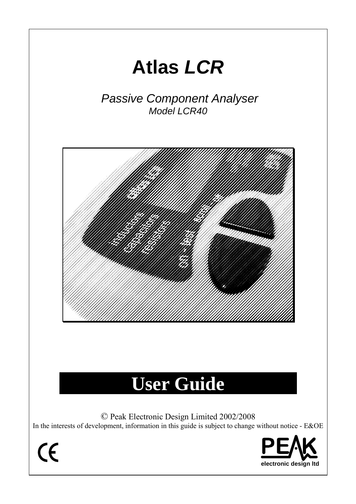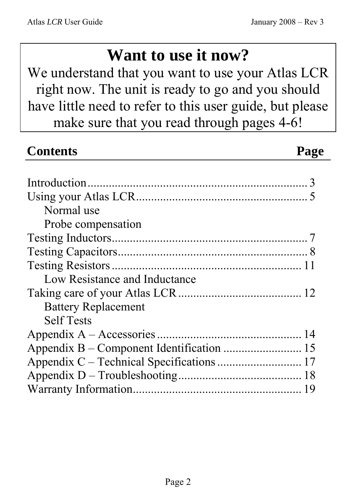# **Want to use it now?**

We understand that you want to use your Atlas LCR right now. The unit is ready to go and you should have little need to refer to this user guide, but please make sure that you read through pages 4-6!

| <b>Contents</b>                           | Page |
|-------------------------------------------|------|
|                                           |      |
|                                           |      |
|                                           |      |
| Normal use                                |      |
| Probe compensation                        |      |
|                                           |      |
|                                           |      |
|                                           |      |
| Low Resistance and Inductance             |      |
|                                           |      |
| <b>Battery Replacement</b>                |      |
| <b>Self Tests</b>                         |      |
|                                           |      |
| Appendix B – Component Identification  15 |      |
| Appendix C - Technical Specifications  17 |      |
|                                           |      |
|                                           |      |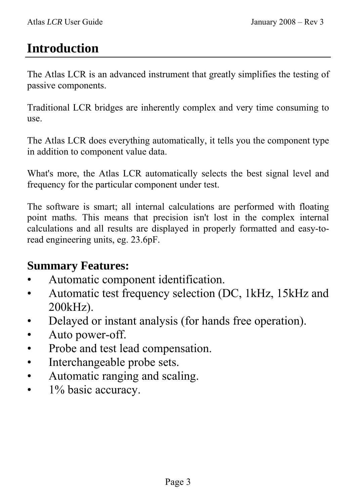## **Introduction**

The Atlas LCR is an advanced instrument that greatly simplifies the testing of passive components.

Traditional LCR bridges are inherently complex and very time consuming to use.

The Atlas LCR does everything automatically, it tells you the component type in addition to component value data.

What's more, the Atlas LCR automatically selects the best signal level and frequency for the particular component under test.

The software is smart; all internal calculations are performed with floating point maths. This means that precision isn't lost in the complex internal calculations and all results are displayed in properly formatted and easy-toread engineering units, eg. 23.6pF.

#### **Summary Features:**

- Automatic component identification.
- Automatic test frequency selection (DC, 1kHz, 15kHz and 200kHz).
- Delayed or instant analysis (for hands free operation).
- Auto power-off.
- Probe and test lead compensation.
- Interchangeable probe sets.
- Automatic ranging and scaling.
- 1% basic accuracy.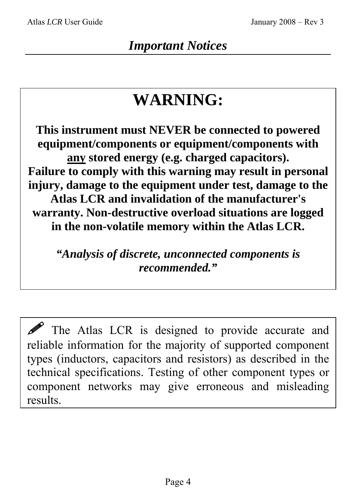# **WARNING:**

**This instrument must NEVER be connected to powered equipment/components or equipment/components with any stored energy (e.g. charged capacitors). Failure to comply with this warning may result in personal injury, damage to the equipment under test, damage to the Atlas LCR and invalidation of the manufacturer's warranty. Non-destructive overload situations are logged in the non-volatile memory within the Atlas LCR.** 

*"Analysis of discrete, unconnected components is recommended."* 

 $\mathscr{P}$  The Atlas LCR is designed to provide accurate and reliable information for the majority of supported component types (inductors, capacitors and resistors) as described in the technical specifications. Testing of other component types or component networks may give erroneous and misleading results.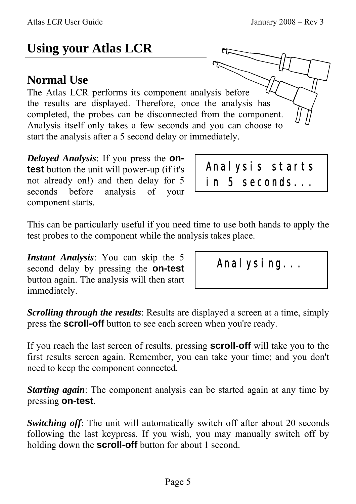# **Using your Atlas LCR**

#### **Normal Use**

The Atlas LCR performs its component analysis before the results are displayed. Therefore, once the analysis has completed, the probes can be disconnected from the component. Analysis itself only takes a few seconds and you can choose to start the analysis after a 5 second delay or immediately.

*Delayed Analysis*: If you press the **ontest** button the unit will power-up (if it's not already on!) and then delay for 5 seconds before analysis of your component starts.

Analysis starts in 5 seconds...

This can be particularly useful if you need time to use both hands to apply the test probes to the component while the analysis takes place.

*Instant Analysis*: You can skip the 5 second delay by pressing the **on-test** button again. The analysis will then start immediately.

Anal ysing...

*Scrolling through the results*: Results are displayed a screen at a time, simply press the **scroll-off** button to see each screen when you're ready.

If you reach the last screen of results, pressing **scroll-off** will take you to the first results screen again. Remember, you can take your time; and you don't need to keep the component connected.

*Starting again*: The component analysis can be started again at any time by pressing **on-test**.

*Switching off:* The unit will automatically switch off after about 20 seconds following the last keypress. If you wish, you may manually switch off by holding down the **scroll-off** button for about 1 second.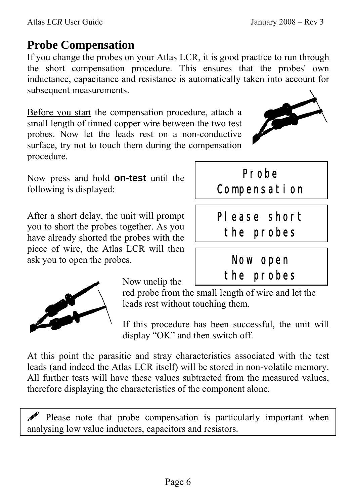### **Probe Compensation**

If you change the probes on your Atlas LCR, it is good practice to run through the short compensation procedure. This ensures that the probes' own inductance, capacitance and resistance is automatically taken into account for subsequent measurements.

Before you start the compensation procedure, attach a small length of tinned copper wire between the two test probes. Now let the leads rest on a non-conductive surface, try not to touch them during the compensation procedure.

Now press and hold **on-test** until the following is displayed:

After a short delay, the unit will prompt you to short the probes together. As you have already shorted the probes with the piece of wire, the Atlas LCR will then ask you to open the probes.

Now unclip the

red probe from the small length of wire and let the leads rest without touching them.

If this procedure has been successful, the unit will display "OK" and then switch off.

At this point the parasitic and stray characteristics associated with the test leads (and indeed the Atlas LCR itself) will be stored in non-volatile memory. All further tests will have these values subtracted from the measured values, therefore displaying the characteristics of the component alone.

Please note that probe compensation is particularly important when analysing low value inductors, capacitors and resistors.





Please short

Probe

Compensation

the probes

Now open

the probes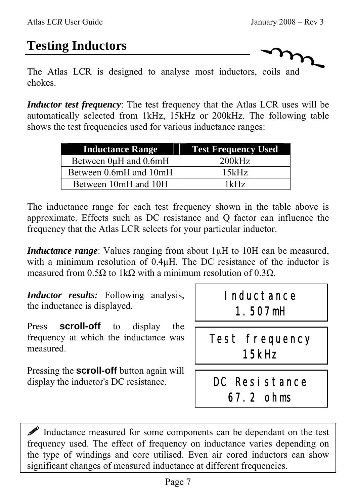# **Testing Inductors**

The Atlas LCR is designed to analyse most inductors, coils and chokes.

*Inductor test frequency*: The test frequency that the Atlas LCR uses will be automatically selected from 1kHz, 15kHz or 200kHz. The following table shows the test frequencies used for various inductance ranges:

| <b>Inductance Range</b> | <b>Test Frequency Used</b> |
|-------------------------|----------------------------|
| Between 0µH and 0.6mH   | 200kHz                     |
| Between 0.6mH and 10mH  | 15kHz                      |
| Between 10mH and 10H    | 1kHz                       |

The inductance range for each test frequency shown in the table above is approximate. Effects such as DC resistance and Q factor can influence the frequency that the Atlas LCR selects for your particular inductor.

*Inductance range*: Values ranging from about 1 $\mu$ H to 10H can be measured, with a minimum resolution of  $0.4\mu$ H. The DC resistance of the inductor is measured from 0.5Ω to 1kΩ with a minimum resolution of 0.3Ω.

*Inductor results:* Following analysis, the inductance is displayed.

Press **scroll-off** to display the frequency at which the inductance was measured.

Pressing the **scroll-off** button again will display the inductor's DC resistance.

# Inductance 1.507mH

Test frequency 15kHz

DC Resistance 67.2 ohms

 Inductance measured for some components can be dependant on the test frequency used. The effect of frequency on inductance varies depending on the type of windings and core utilised. Even air cored inductors can show significant changes of measured inductance at different frequencies.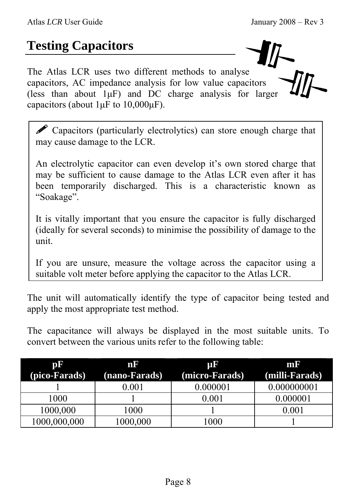# **Testing Capacitors**

The Atlas LCR uses two different methods to analyse capacitors, AC impedance analysis for low value capacitors (less than about  $1\mu$ F) and DC charge analysis for larger capacitors (about  $1 \mu$ F to  $10,000 \mu$ F).

Capacitors (particularly electrolytics) can store enough charge that may cause damage to the LCR.

An electrolytic capacitor can even develop it's own stored charge that may be sufficient to cause damage to the Atlas LCR even after it has been temporarily discharged. This is a characteristic known as "Soakage".

It is vitally important that you ensure the capacitor is fully discharged (ideally for several seconds) to minimise the possibility of damage to the unit.

If you are unsure, measure the voltage across the capacitor using a suitable volt meter before applying the capacitor to the Atlas LCR.

The unit will automatically identify the type of capacitor being tested and apply the most appropriate test method.

The capacitance will always be displayed in the most suitable units. To convert between the various units refer to the following table:

| pF            | nF            | <b>TIL</b>     | mr             |
|---------------|---------------|----------------|----------------|
| (pico-Farads) | (nano-Farads) | (micro-Farads) | (milli-Farads) |
|               | 0.001         | 0.000001       | 0.000000001    |
| 1000          |               | $0.001\,$      | 0.000001       |
| 1000,000      | 1000          |                |                |
| 1000,000,000  | 1000,000      | .000           |                |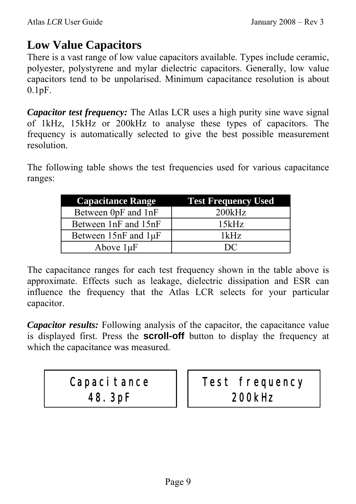#### **Low Value Capacitors**

There is a vast range of low value capacitors available. Types include ceramic, polyester, polystyrene and mylar dielectric capacitors. Generally, low value capacitors tend to be unpolarised. Minimum capacitance resolution is about 0.1pF.

*Capacitor test frequency:* The Atlas LCR uses a high purity sine wave signal of 1kHz, 15kHz or 200kHz to analyse these types of capacitors. The frequency is automatically selected to give the best possible measurement resolution.

The following table shows the test frequencies used for various capacitance ranges:

| <b>Capacitance Range</b>    | <b>Test Frequency Used</b> |
|-----------------------------|----------------------------|
| Between 0pF and 1nF         | 200kHz                     |
| Between 1nF and 15nF        | 15kHz                      |
| Between $15nF$ and $1\mu F$ | 1kHz                       |
| Above $1\mu F$              | $\mathbf{D}$               |

The capacitance ranges for each test frequency shown in the table above is approximate. Effects such as leakage, dielectric dissipation and ESR can influence the frequency that the Atlas LCR selects for your particular capacitor.

*Capacitor results:* Following analysis of the capacitor, the capacitance value is displayed first. Press the **scroll-off** button to display the frequency at which the capacitance was measured.

# Capaci tance 48.3pF

Test frequency 200kHz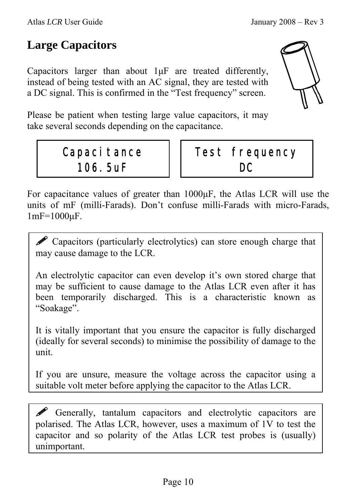#### **Large Capacitors**

Capacitors larger than about 1µF are treated differently, instead of being tested with an AC signal, they are tested with a DC signal. This is confirmed in the "Test frequency" screen.

Please be patient when testing large value capacitors, it may take several seconds depending on the capacitance.

### Capaci tance 106.5uF



For capacitance values of greater than 1000µF, the Atlas LCR will use the units of mF (milli-Farads). Don't confuse milli-Farads with micro-Farads, 1mF=1000µF.

**P** Capacitors (particularly electrolytics) can store enough charge that may cause damage to the LCR.

An electrolytic capacitor can even develop it's own stored charge that may be sufficient to cause damage to the Atlas LCR even after it has been temporarily discharged. This is a characteristic known as "Soakage".

It is vitally important that you ensure the capacitor is fully discharged (ideally for several seconds) to minimise the possibility of damage to the unit.

If you are unsure, measure the voltage across the capacitor using a suitable volt meter before applying the capacitor to the Atlas LCR.

 Generally, tantalum capacitors and electrolytic capacitors are polarised. The Atlas LCR, however, uses a maximum of 1V to test the capacitor and so polarity of the Atlas LCR test probes is (usually) unimportant.

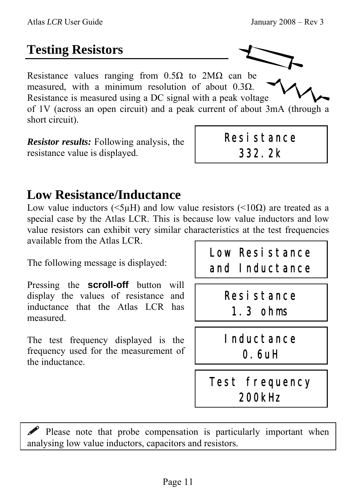# **Testing Resistors**

Resistance values ranging from 0.5Ω to 2MΩ can be measured, with a minimum resolution of about  $0.3\Omega$ . Resistance is measured using a DC signal with a peak voltage of 1V (across an open circuit) and a peak current of about 3mA (through a short circuit).

*Resistor results:* Following analysis, the resistance value is displayed.

### **Low Resistance/Inductance**

Low value inductors ( $\leq 5\mu$ H) and low value resistors ( $\leq 10\Omega$ ) are treated as a special case by the Atlas LCR. This is because low value inductors and low value resistors can exhibit very similar characteristics at the test frequencies available from the Atlas LCR.

The following message is displayed:

Pressing the **scroll-off** button will display the values of resistance and inductance that the Atlas LCR has measured.

The test frequency displayed is the frequency used for the measurement of the inductance.

Low Resistance and Inductance

Resistance

332.2k

Resistance 1.3 ohms

Inductance 0.6uH

# Test frequency 200kHz

 Please note that probe compensation is particularly important when analysing low value inductors, capacitors and resistors.

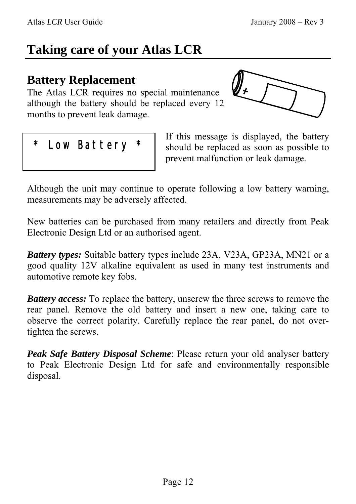# **Taking care of your Atlas LCR**

#### **Battery Replacement**

The Atlas LCR requires no special maintenance although the battery should be replaced every 12 months to prevent leak damage.



#### Low Battery

If this message is displayed, the battery should be replaced as soon as possible to prevent malfunction or leak damage.

Although the unit may continue to operate following a low battery warning, measurements may be adversely affected.

New batteries can be purchased from many retailers and directly from Peak Electronic Design Ltd or an authorised agent.

*Battery types:* Suitable battery types include 23A, V23A, GP23A, MN21 or a good quality 12V alkaline equivalent as used in many test instruments and automotive remote key fobs.

*Battery access:* To replace the battery, unscrew the three screws to remove the rear panel. Remove the old battery and insert a new one, taking care to observe the correct polarity. Carefully replace the rear panel, do not overtighten the screws.

*Peak Safe Battery Disposal Scheme*: Please return your old analyser battery to Peak Electronic Design Ltd for safe and environmentally responsible disposal.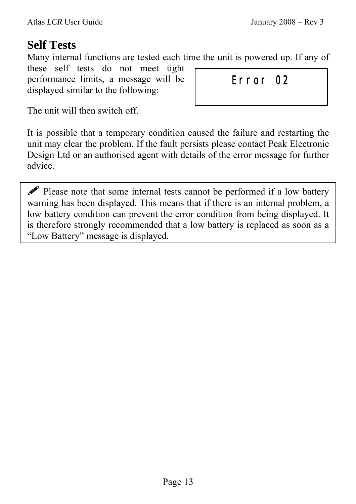#### **Self Tests**

Many internal functions are tested each time the unit is powered up. If any of

these self tests do not meet tight performance limits, a message will be displayed similar to the following:

Error 02

The unit will then switch off.

It is possible that a temporary condition caused the failure and restarting the unit may clear the problem. If the fault persists please contact Peak Electronic Design Ltd or an authorised agent with details of the error message for further advice.

 Please note that some internal tests cannot be performed if a low battery warning has been displayed. This means that if there is an internal problem, a low battery condition can prevent the error condition from being displayed. It is therefore strongly recommended that a low battery is replaced as soon as a "Low Battery" message is displayed.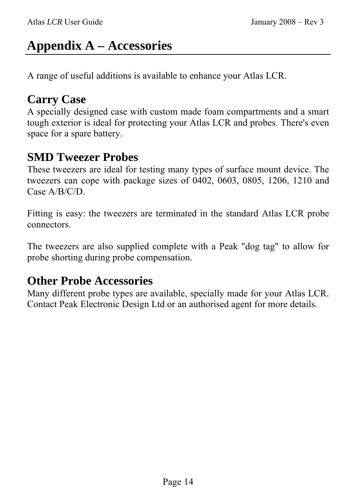# **Appendix A – Accessories**

A range of useful additions is available to enhance your Atlas LCR.

#### **Carry Case**

A specially designed case with custom made foam compartments and a smart tough exterior is ideal for protecting your Atlas LCR and probes. There's even space for a spare battery.

#### **SMD Tweezer Probes**

These tweezers are ideal for testing many types of surface mount device. The tweezers can cope with package sizes of 0402, 0603, 0805, 1206, 1210 and Case A/B/C/D.

Fitting is easy: the tweezers are terminated in the standard Atlas LCR probe connectors.

The tweezers are also supplied complete with a Peak "dog tag" to allow for probe shorting during probe compensation.

#### **Other Probe Accessories**

Many different probe types are available, specially made for your Atlas LCR. Contact Peak Electronic Design Ltd or an authorised agent for more details.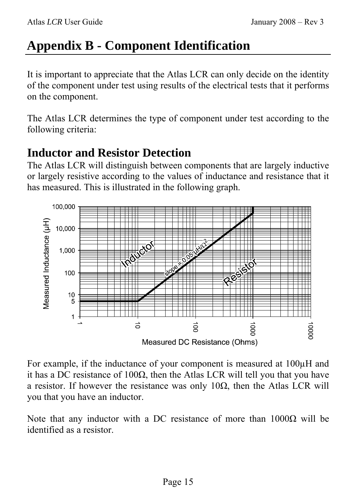# **Appendix B - Component Identification**

It is important to appreciate that the Atlas LCR can only decide on the identity of the component under test using results of the electrical tests that it performs on the component.

The Atlas LCR determines the type of component under test according to the following criteria:

#### **Inductor and Resistor Detection**

The Atlas LCR will distinguish between components that are largely inductive or largely resistive according to the values of inductance and resistance that it has measured. This is illustrated in the following graph.



For example, if the inductance of your component is measured at 100µH and it has a DC resistance of 100Ω, then the Atlas LCR will tell you that you have a resistor. If however the resistance was only 10 $\Omega$ , then the Atlas LCR will you that you have an inductor.

Note that any inductor with a DC resistance of more than  $1000Ω$  will be identified as a resistor.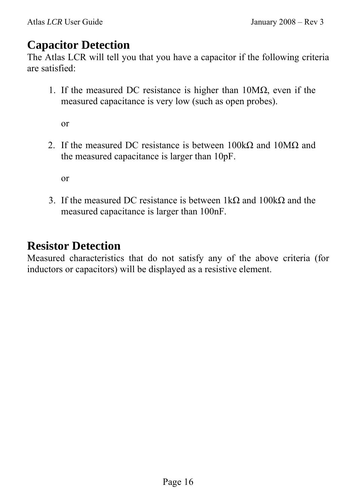#### **Capacitor Detection**

The Atlas LCR will tell you that you have a capacitor if the following criteria are satisfied:

1. If the measured DC resistance is higher than  $10M\Omega$ , even if the measured capacitance is very low (such as open probes).

or

2. If the measured DC resistance is between  $100k\Omega$  and  $10M\Omega$  and the measured capacitance is larger than 10pF.

or

3. If the measured DC resistance is between 1kΩ and 100kΩ and the measured capacitance is larger than 100nF.

#### **Resistor Detection**

Measured characteristics that do not satisfy any of the above criteria (for inductors or capacitors) will be displayed as a resistive element.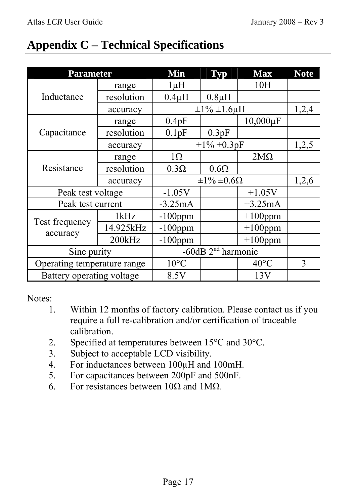### **Appendix C – Technical Specifications**

| <b>Parameter</b>            |            | Min                     | <b>Typ</b>  | <b>Max</b>     | <b>Note</b> |
|-----------------------------|------------|-------------------------|-------------|----------------|-------------|
| Inductance                  | range      | $1 \mu H$               |             | 10H            |             |
|                             | resolution | $0.4\mu H$              | $0.8\mu H$  |                |             |
|                             | accuracy   | $\pm 1\% \pm 1.6 \mu H$ |             | 1,2,4          |             |
|                             | range      | 0.4pF                   |             | $10,000 \mu F$ |             |
| Capacitance                 | resolution | 0.1pF                   | 0.3pF       |                |             |
|                             | accuracy   | $\pm 1\% \pm 0.3pF$     |             | 1,2,5          |             |
| Resistance                  | range      | $1\Omega$               |             | $2M\Omega$     |             |
|                             | resolution | $0.3\Omega$             | $0.6\Omega$ |                |             |
|                             | accuracy   | $\pm 1\% \pm 0.6\Omega$ |             | 1,2,6          |             |
| Peak test voltage           |            | $-1.05V$                |             | $+1.05V$       |             |
| Peak test current           |            | $-3.25mA$<br>$+3.25mA$  |             |                |             |
| Test frequency<br>accuracy  | 1kHz       | $-100$ ppm              |             | $+100$ ppm     |             |
|                             | 14.925kHz  | $-100$ ppm              |             | $+100$ ppm     |             |
|                             | 200kHz     | $-100$ ppm              |             | $+100$ ppm     |             |
| Sine purity                 |            | $-60$ dB $2nd$ harmonic |             |                |             |
| Operating temperature range |            | $10^{\circ}$ C          |             | $40^{\circ}$ C | 3           |
| Battery operating voltage   |            | 8.5V                    |             | 13V            |             |

Notes:

- 1. Within 12 months of factory calibration. Please contact us if you require a full re-calibration and/or certification of traceable calibration.
- 2. Specified at temperatures between 15°C and 30°C.
- 3. Subject to acceptable LCD visibility.
- 4. For inductances between 100µH and 100mH.
- 5. For capacitances between 200pF and 500nF.
- 6. For resistances between  $10\Omega$  and  $1\text{M}\Omega$ .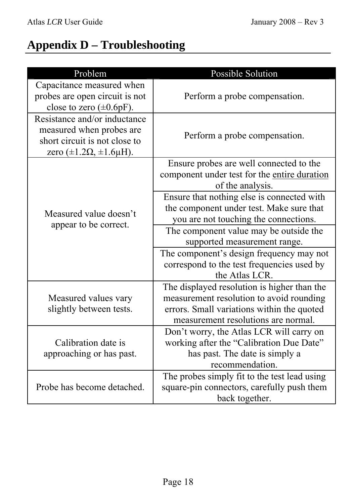# **Appendix D – Troubleshooting**

| Problem                                                                                                                             | <b>Possible Solution</b>                                                                                                                                                     |
|-------------------------------------------------------------------------------------------------------------------------------------|------------------------------------------------------------------------------------------------------------------------------------------------------------------------------|
| Capacitance measured when<br>probes are open circuit is not<br>close to zero $(\pm 0.6pF)$ .                                        | Perform a probe compensation.                                                                                                                                                |
| Resistance and/or inductance<br>measured when probes are<br>short circuit is not close to<br>zero $(\pm 1.2\Omega, \pm 1.6\mu H)$ . | Perform a probe compensation.                                                                                                                                                |
| Measured value doesn't<br>appear to be correct.                                                                                     | Ensure probes are well connected to the<br>component under test for the entire duration<br>of the analysis.                                                                  |
|                                                                                                                                     | Ensure that nothing else is connected with<br>the component under test. Make sure that<br>you are not touching the connections.                                              |
|                                                                                                                                     | The component value may be outside the<br>supported measurement range.                                                                                                       |
|                                                                                                                                     | The component's design frequency may not<br>correspond to the test frequencies used by<br>the Atlas LCR.                                                                     |
| Measured values vary<br>slightly between tests.                                                                                     | The displayed resolution is higher than the<br>measurement resolution to avoid rounding<br>errors. Small variations within the quoted<br>measurement resolutions are normal. |
| Calibration date is<br>approaching or has past.                                                                                     | Don't worry, the Atlas LCR will carry on<br>working after the "Calibration Due Date"<br>has past. The date is simply a<br>recommendation.                                    |
| Probe has become detached.                                                                                                          | The probes simply fit to the test lead using<br>square-pin connectors, carefully push them<br>back together.                                                                 |